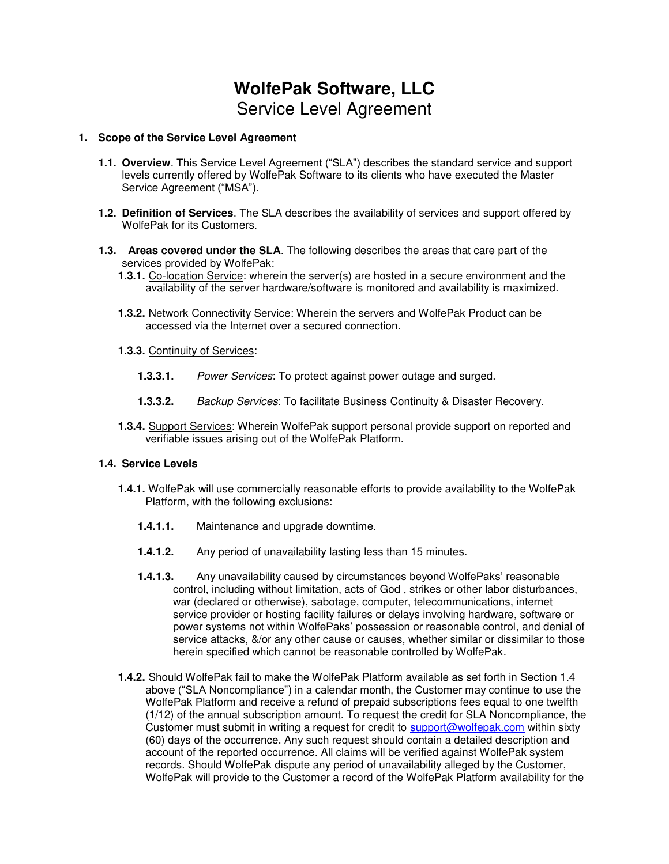# **WolfePak Software, LLC**  Service Level Agreement

#### **1. Scope of the Service Level Agreement**

- **1.1. Overview**. This Service Level Agreement ("SLA") describes the standard service and support levels currently offered by WolfePak Software to its clients who have executed the Master Service Agreement ("MSA").
- **1.2. Definition of Services**. The SLA describes the availability of services and support offered by WolfePak for its Customers.
- **1.3. Areas covered under the SLA**. The following describes the areas that care part of the services provided by WolfePak:
	- **1.3.1.** Co-location Service: wherein the server(s) are hosted in a secure environment and the availability of the server hardware/software is monitored and availability is maximized.
	- **1.3.2.** Network Connectivity Service: Wherein the servers and WolfePak Product can be accessed via the Internet over a secured connection.
	- **1.3.3.** Continuity of Services:
		- **1.3.3.1.** Power Services: To protect against power outage and surged.
		- **1.3.3.2.** Backup Services: To facilitate Business Continuity & Disaster Recovery.
	- **1.3.4.** Support Services: Wherein WolfePak support personal provide support on reported and verifiable issues arising out of the WolfePak Platform.

#### **1.4. Service Levels**

- **1.4.1.** WolfePak will use commercially reasonable efforts to provide availability to the WolfePak Platform, with the following exclusions:
	- **1.4.1.1.** Maintenance and upgrade downtime.
	- **1.4.1.2.** Any period of unavailability lasting less than 15 minutes.
	- **1.4.1.3.** Any unavailability caused by circumstances beyond WolfePaks' reasonable control, including without limitation, acts of God , strikes or other labor disturbances, war (declared or otherwise), sabotage, computer, telecommunications, internet service provider or hosting facility failures or delays involving hardware, software or power systems not within WolfePaks' possession or reasonable control, and denial of service attacks, &/or any other cause or causes, whether similar or dissimilar to those herein specified which cannot be reasonable controlled by WolfePak.
- **1.4.2.** Should WolfePak fail to make the WolfePak Platform available as set forth in Section 1.4 above ("SLA Noncompliance") in a calendar month, the Customer may continue to use the WolfePak Platform and receive a refund of prepaid subscriptions fees equal to one twelfth (1/12) of the annual subscription amount. To request the credit for SLA Noncompliance, the Customer must submit in writing a request for credit to [support@wolfepak.com](mailto:support@wolfepak.com) within sixty (60) days of the occurrence. Any such request should contain a detailed description and account of the reported occurrence. All claims will be verified against WolfePak system records. Should WolfePak dispute any period of unavailability alleged by the Customer, WolfePak will provide to the Customer a record of the WolfePak Platform availability for the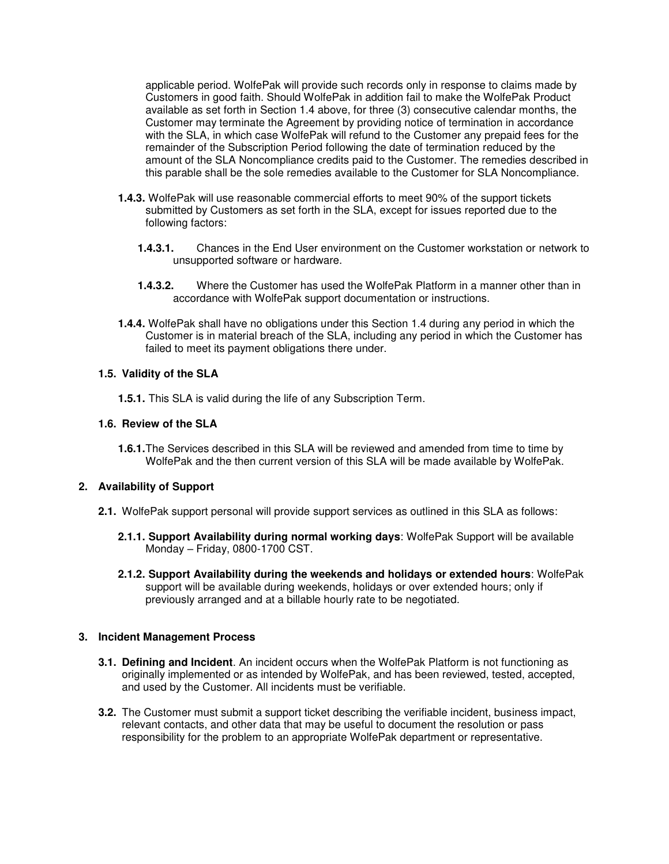applicable period. WolfePak will provide such records only in response to claims made by Customers in good faith. Should WolfePak in addition fail to make the WolfePak Product available as set forth in Section 1.4 above, for three (3) consecutive calendar months, the Customer may terminate the Agreement by providing notice of termination in accordance with the SLA, in which case WolfePak will refund to the Customer any prepaid fees for the remainder of the Subscription Period following the date of termination reduced by the amount of the SLA Noncompliance credits paid to the Customer. The remedies described in this parable shall be the sole remedies available to the Customer for SLA Noncompliance.

- **1.4.3.** WolfePak will use reasonable commercial efforts to meet 90% of the support tickets submitted by Customers as set forth in the SLA, except for issues reported due to the following factors:
	- **1.4.3.1.** Chances in the End User environment on the Customer workstation or network to unsupported software or hardware.
	- **1.4.3.2.** Where the Customer has used the WolfePak Platform in a manner other than in accordance with WolfePak support documentation or instructions.
- **1.4.4.** WolfePak shall have no obligations under this Section 1.4 during any period in which the Customer is in material breach of the SLA, including any period in which the Customer has failed to meet its payment obligations there under.

## **1.5. Validity of the SLA**

**1.5.1.** This SLA is valid during the life of any Subscription Term.

## **1.6. Review of the SLA**

**1.6.1.** The Services described in this SLA will be reviewed and amended from time to time by WolfePak and the then current version of this SLA will be made available by WolfePak.

# **2. Availability of Support**

- **2.1.** WolfePak support personal will provide support services as outlined in this SLA as follows:
	- **2.1.1. Support Availability during normal working days**: WolfePak Support will be available Monday – Friday, 0800-1700 CST.
	- **2.1.2. Support Availability during the weekends and holidays or extended hours**: WolfePak support will be available during weekends, holidays or over extended hours; only if previously arranged and at a billable hourly rate to be negotiated.

# **3. Incident Management Process**

- **3.1. Defining and Incident**. An incident occurs when the WolfePak Platform is not functioning as originally implemented or as intended by WolfePak, and has been reviewed, tested, accepted, and used by the Customer. All incidents must be verifiable.
- **3.2.** The Customer must submit a support ticket describing the verifiable incident, business impact, relevant contacts, and other data that may be useful to document the resolution or pass responsibility for the problem to an appropriate WolfePak department or representative.